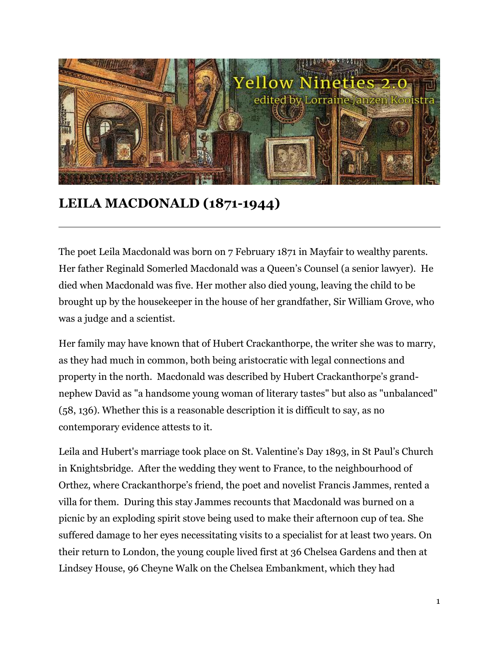

## **LEILA MACDONALD (1871-1944)**

The poet Leila Macdonald was born on 7 February 1871 in Mayfair to wealthy parents. Her father Reginald Somerled Macdonald was a Queen's Counsel (a senior lawyer). He died when Macdonald was five. Her mother also died young, leaving the child to be brought up by the housekeeper in the house of her grandfather, Sir William Grove, who was a judge and a scientist.

Her family may have known that of Hubert Crackanthorpe, the writer she was to marry, as they had much in common, both being aristocratic with legal connections and property in the north. Macdonald was described by Hubert Crackanthorpe's grandnephew David as "a handsome young woman of literary tastes" but also as "unbalanced" (58, 136). Whether this is a reasonable description it is difficult to say, as no contemporary evidence attests to it.

Leila and Hubert's marriage took place on St. Valentine's Day 1893, in St Paul's Church in Knightsbridge. After the wedding they went to France, to the neighbourhood of Orthez, where Crackanthorpe's friend, the poet and novelist Francis Jammes, rented a villa for them. During this stay Jammes recounts that Macdonald was burned on a picnic by an exploding spirit stove being used to make their afternoon cup of tea. She suffered damage to her eyes necessitating visits to a specialist for at least two years. On their return to London, the young couple lived first at 36 Chelsea Gardens and then at Lindsey House, 96 Cheyne Walk on the Chelsea Embankment, which they had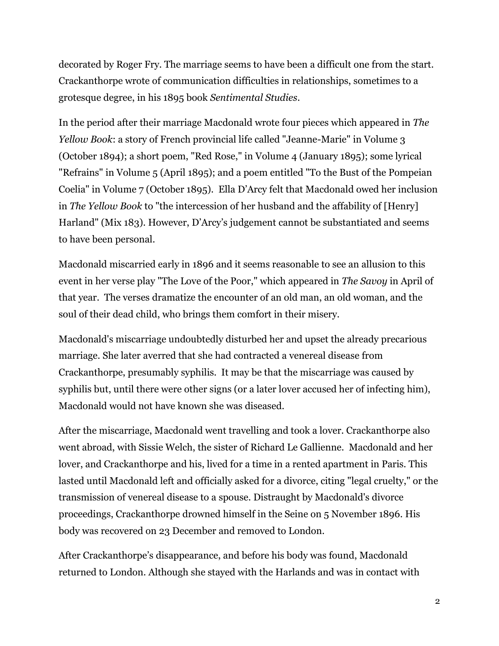decorated by Roger Fry. The marriage seems to have been a difficult one from the start. Crackanthorpe wrote of communication difficulties in relationships, sometimes to a grotesque degree, in his 1895 book *Sentimental Studies*.

In the period after their marriage Macdonald wrote four pieces which appeared in *The Yellow Book*: a story of French provincial life called "Jeanne-Marie" in Volume 3 (October 1894); a short poem, "Red Rose," in Volume 4 (January 1895); some lyrical "Refrains" in Volume 5 (April 1895); and a poem entitled "To the Bust of the Pompeian Coelia" in Volume 7 (October 1895). Ella D'Arcy felt that Macdonald owed her inclusion in *The Yellow Book* to "the intercession of her husband and the affability of [Henry] Harland" (Mix 183). However, D'Arcy's judgement cannot be substantiated and seems to have been personal.

Macdonald miscarried early in 1896 and it seems reasonable to see an allusion to this event in her verse play "The Love of the Poor," which appeared in *The Savoy* in April of that year. The verses dramatize the encounter of an old man, an old woman, and the soul of their dead child, who brings them comfort in their misery.

Macdonald's miscarriage undoubtedly disturbed her and upset the already precarious marriage. She later averred that she had contracted a venereal disease from Crackanthorpe, presumably syphilis. It may be that the miscarriage was caused by syphilis but, until there were other signs (or a later lover accused her of infecting him), Macdonald would not have known she was diseased.

After the miscarriage, Macdonald went travelling and took a lover. Crackanthorpe also went abroad, with Sissie Welch, the sister of Richard Le Gallienne. Macdonald and her lover, and Crackanthorpe and his, lived for a time in a rented apartment in Paris. This lasted until Macdonald left and officially asked for a divorce, citing "legal cruelty," or the transmission of venereal disease to a spouse. Distraught by Macdonald's divorce proceedings, Crackanthorpe drowned himself in the Seine on 5 November 1896. His body was recovered on 23 December and removed to London.

After Crackanthorpe's disappearance, and before his body was found, Macdonald returned to London. Although she stayed with the Harlands and was in contact with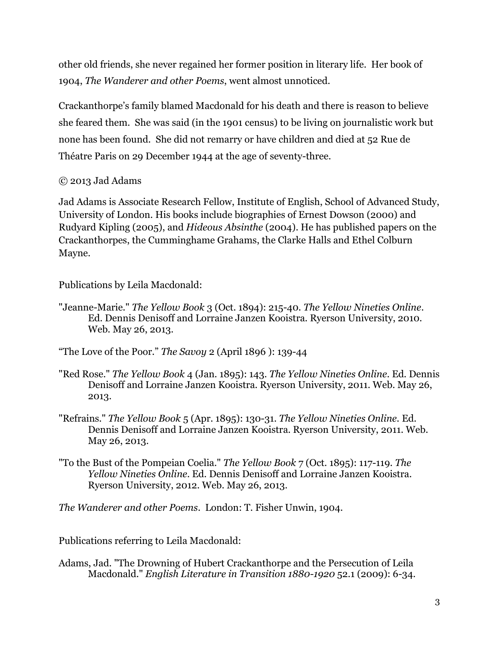other old friends, she never regained her former position in literary life. Her book of 1904, *The Wanderer and other Poems*, went almost unnoticed.

Crackanthorpe's family blamed Macdonald for his death and there is reason to believe she feared them. She was said (in the 1901 census) to be living on journalistic work but none has been found. She did not remarry or have children and died at 52 Rue de Théatre Paris on 29 December 1944 at the age of seventy-three.

## © 2013 Jad Adams

Jad Adams is Associate Research Fellow, Institute of English, School of Advanced Study, University of London. His books include biographies of Ernest Dowson (2000) and Rudyard Kipling (2005), and *Hideous Absinthe* (2004). He has published papers on the Crackanthorpes, the Cumminghame Grahams, the Clarke Halls and Ethel Colburn Mayne.

Publications by Leila Macdonald:

"Jeanne-Marie." *The Yellow Book* 3 (Oct. 1894): 215-40. *The Yellow Nineties Online*. Ed. Dennis Denisoff and Lorraine Janzen Kooistra. Ryerson University, 2010. Web. May 26, 2013.

"The Love of the Poor." *The Savoy* 2 (April 1896 ): 139-44

- "Red Rose." *The Yellow Book* 4 (Jan. 1895): 143. *The Yellow Nineties Online*. Ed. Dennis Denisoff and Lorraine Janzen Kooistra. Ryerson University, 2011. Web. May 26, 2013.
- "Refrains." *The Yellow Book* 5 (Apr. 1895): 130-31. *The Yellow Nineties Online.* Ed. Dennis Denisoff and Lorraine Janzen Kooistra. Ryerson University, 2011. Web. May 26, 2013.
- "To the Bust of the Pompeian Coelia." *The Yellow Book* 7 (Oct. 1895): 117-119. *The Yellow Nineties Online*. Ed. Dennis Denisoff and Lorraine Janzen Kooistra. Ryerson University, 2012. Web. May 26, 2013.

*The Wanderer and other Poems*. London: T. Fisher Unwin, 1904.

Publications referring to Leila Macdonald:

Adams, Jad. "The Drowning of Hubert Crackanthorpe and the Persecution of Leila Macdonald." *English Literature in Transition 1880-1920* 52.1 (2009): 6-34.